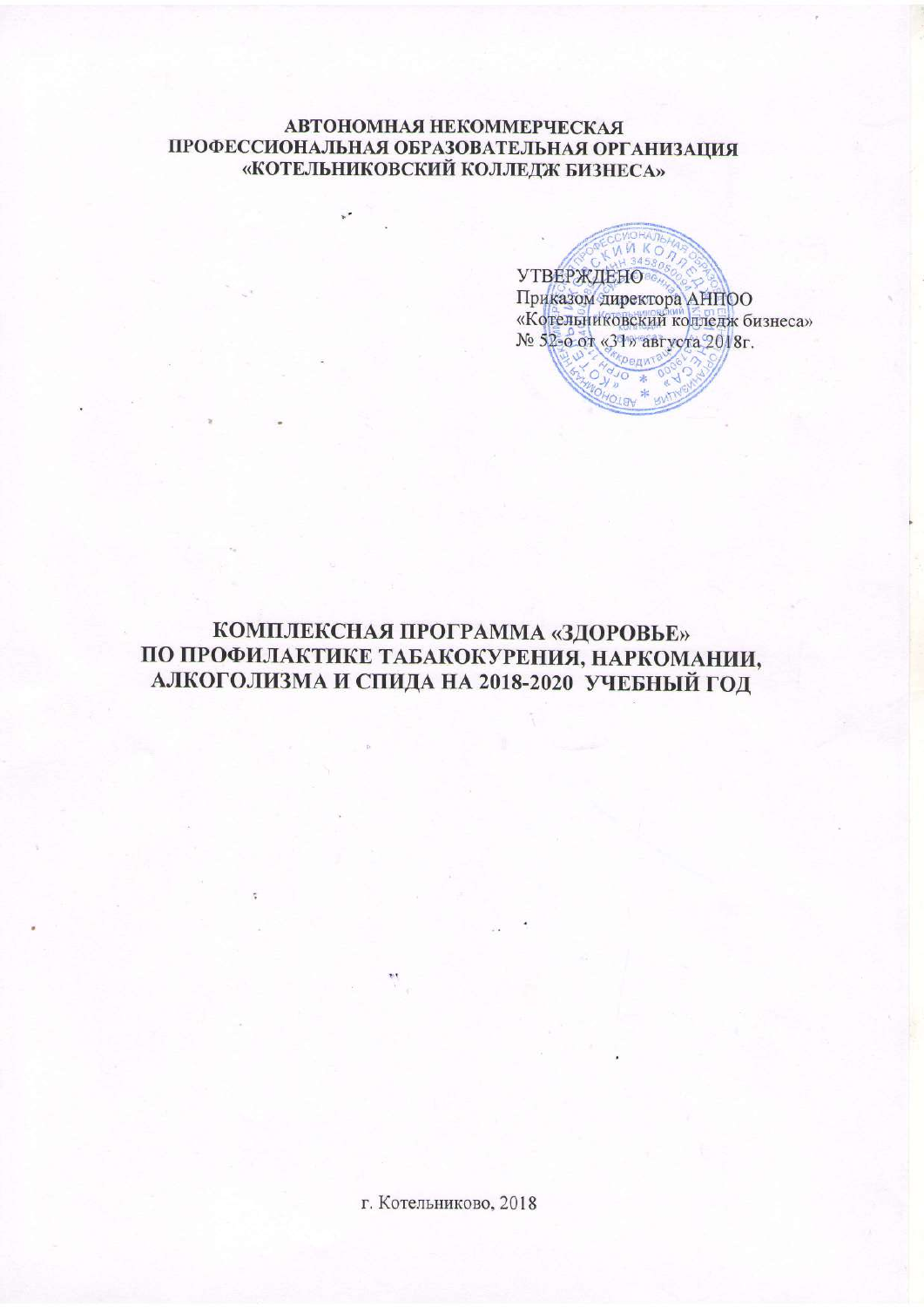#### **АВТОНОМНАЯ НЕКОММЕРЧЕСКАЯ** ПРОФЕССИОНАЛЬНАЯ ОБРАЗОВАТЕЛЬНАЯ ОРГАНИЗАЦИЯ «КОТЕЛЬНИКОВСКИЙ КОЛЛЕДЖ БИЗНЕСА»

KO **УТВЕРЖДЕНО** Приказом директора АНПОО «Котельниковский колледж бизнеса» № 52-о от «31» августа 2018г. Kpenwi<sup>3</sup>

# КОМПЛЕКСНАЯ ПРОГРАММА «ЗДОРОВЬЕ» ПО ПРОФИЛАКТИКЕ ТАБАКОКУРЕНИЯ, НАРКОМАНИИ, АЛКОГОЛИЗМА И СПИДА НА 2018-2020 УЧЕБНЫЙ ГОД

г. Котельниково, 2018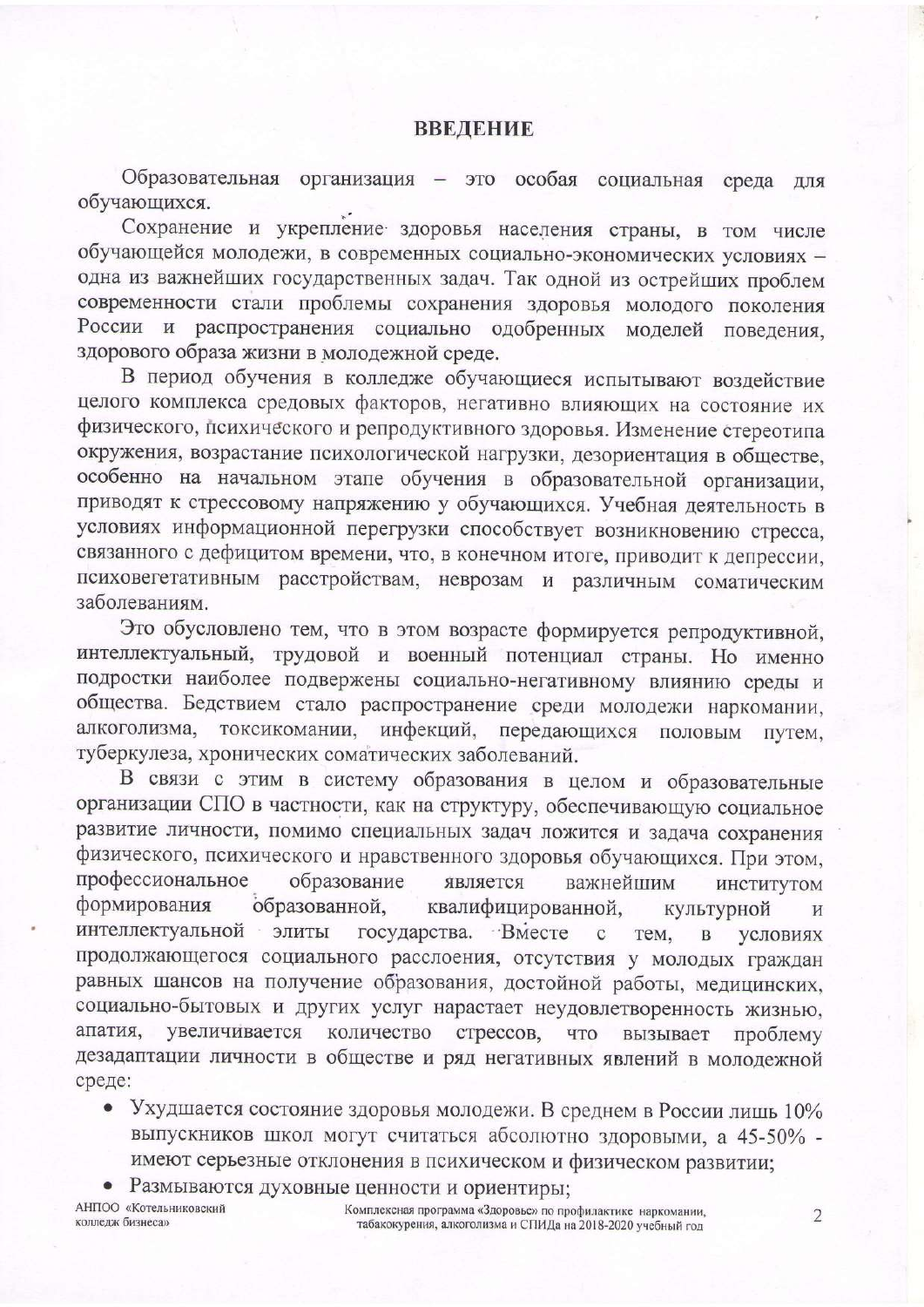Образовательная организация - это особая социальная среда ДЛЯ обучающихся.

Сохранение и укрепление здоровья населения страны, в том числе обучающейся молодежи, в современных социально-экономических условиях одна из важнейших государственных задач. Так одной из острейших проблем современности стали проблемы сохранения здоровья молодого поколения России и распространения социально одобренных моделей поведения. здорового образа жизни в молодежной среде.

В период обучения в колледже обучающиеся испытывают воздействие целого комплекса средовых факторов, негативно влияющих на состояние их физического, психического и репродуктивного здоровья. Изменение стереотипа окружения, возрастание психологической нагрузки, дезориентация в обществе, особенно на начальном этапе обучения в образовательной организации, приводят к стрессовому напряжению у обучающихся. Учебная деятельность в условиях информационной перегрузки способствует возникновению стресса, связанного с дефицитом времени, что, в конечном итоге, приводит к депрессии, психовегетативным расстройствам, неврозам и различным соматическим заболеваниям.

Это обусловлено тем, что в этом возрасте формируется репродуктивной, интеллектуальный, трудовой и военный потенциал страны. Но именно подростки наиболее подвержены социально-негативному влиянию среды и общества. Бедствием стало распространение среди молодежи наркомании, алкоголизма, токсикомании, инфекций, передающихся половым путем. туберкулеза, хронических соматических заболеваний.

В связи с этим в систему образования в целом и образовательные организации СПО в частности, как на структуру, обеспечивающую социальное развитие личности, помимо специальных задач ложится и задача сохранения физического, психического и нравственного здоровья обучающихся. При этом, профессиональное образование является важнейшим ИНСТИТУТОМ формирования образованной, квалифицированной, культурной И интеллектуальной элиты государства. Вместе  $\mathbf{C}$ Tem,  $\overline{B}$ условиях продолжающегося социального расслоения, отсутствия у молодых граждан равных шансов на получение образования, достойной работы, медицинских, социально-бытовых и других услуг нарастает неудовлетворенность жизнью, увеличивается количество апатия, стрессов, что вызывает проблему дезадаптации личности в обществе и ряд негативных явлений в молодежной среде:

- Ухудшается состояние здоровья молодежи. В среднем в России лишь 10% выпускников школ могут считаться абсолютно здоровыми, а 45-50% имеют серьезные отклонения в психическом и физическом развитии;
- Размываются духовные ценности и ориентиры;

АНПОО «Котельниковский колледж бизнеса»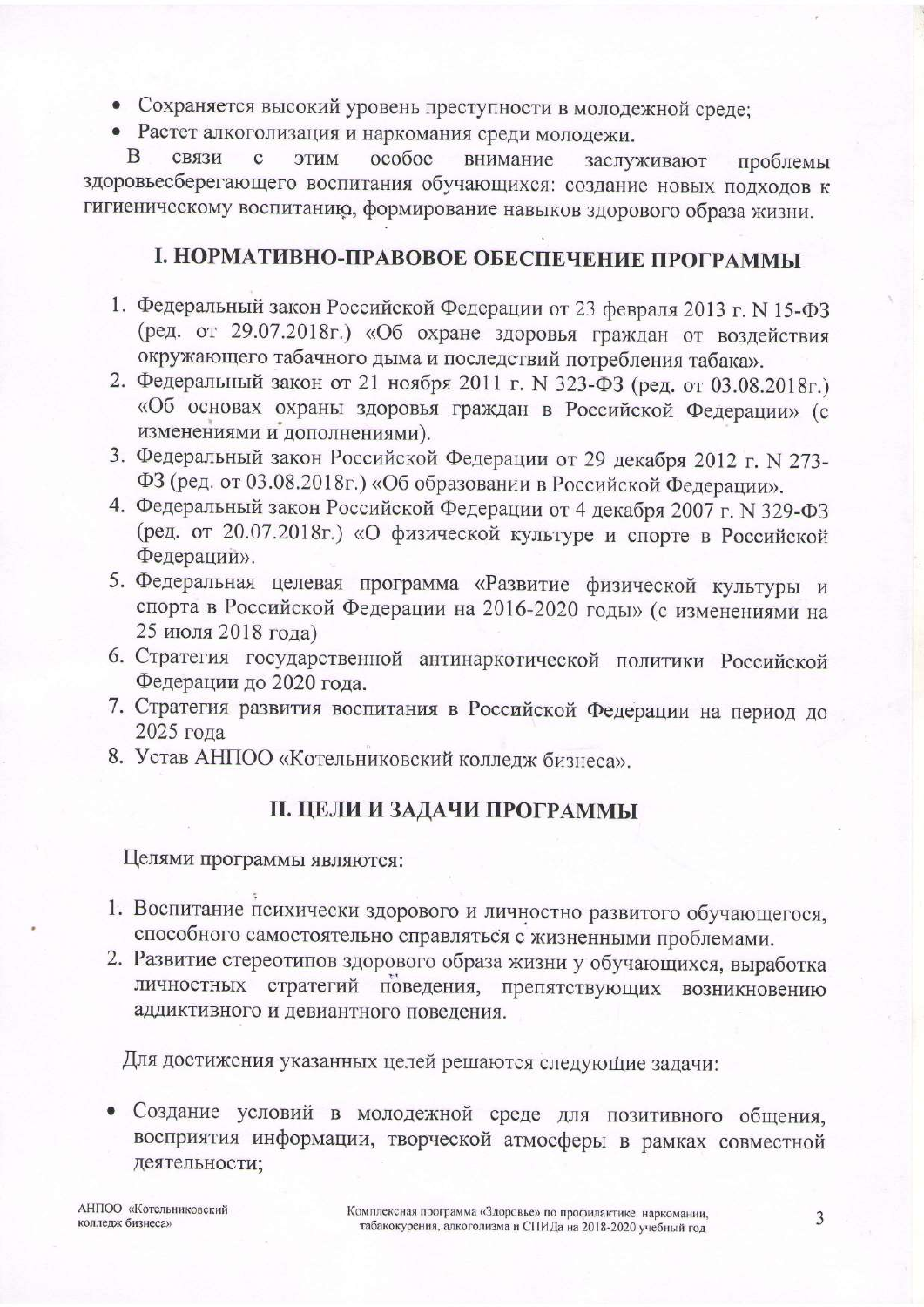- Сохраняется высокий уровень преступности в молодежной среде;
- Растет алкоголизация и наркомания среди молодежи.

<sub>B</sub> связи особое  $\mathbf{C}$ ЭТИМ внимание заслуживают проблемы здоровьесберегающего воспитания обучающихся: создание новых подходов к гигиеническому воспитанию, формирование навыков здорового образа жизни.

### І. НОРМАТИВНО-ПРАВОВОЕ ОБЕСПЕЧЕНИЕ ПРОГРАММЫ

- 1. Федеральный закон Российской Федерации от 23 февраля 2013 г. N 15-ФЗ (ред. от 29.07.2018г.) «Об охране здоровья граждан от воздействия окружающего табачного дыма и последствий потребления табака».
- 2. Федеральный закон от 21 ноября 2011 г. N 323-ФЗ (ред. от 03.08.2018г.) «Об основах охраны здоровья граждан в Российской Федерации» (с изменениями и дополнениями).
- 3. Федеральный закон Российской Федерации от 29 декабря 2012 г. N 273-ФЗ (ред. от 03.08.2018г.) «Об образовании в Российской Федерации».
- 4. Федеральный закон Российской Федерации от 4 декабря 2007 г. N 329-ФЗ (ред. от 20.07.2018г.) «О физической культуре и спорте в Российской Федерации».
- 5. Федеральная целевая программа «Развитие физической культуры и спорта в Российской Федерации на 2016-2020 годы» (с изменениями на 25 июля 2018 года)
- 6. Стратегия государственной антинаркотической политики Российской Федерации до 2020 года.
- 7. Стратегия развития воспитания в Российской Федерации на период до 2025 года
- 8. Устав АНПОО «Котельниковский колледж бизнеса».

### **II. ЦЕЛИ И ЗАДАЧИ ПРОГРАММЫ**

Целями программы являются:

- 1. Воспитание психически здорового и личностно развитого обучающегося, способного самостоятельно справляться с жизненными проблемами.
- 2. Развитие стереотипов здорового образа жизни у обучающихся, выработка личностных стратегий поведения, препятствующих возникновению аддиктивного и девиантного поведения.

Для достижения указанных целей решаются следующие задачи:

Создание условий в молодежной среде для позитивного общения, восприятия информации, творческой атмосферы в рамках совместной деятельности;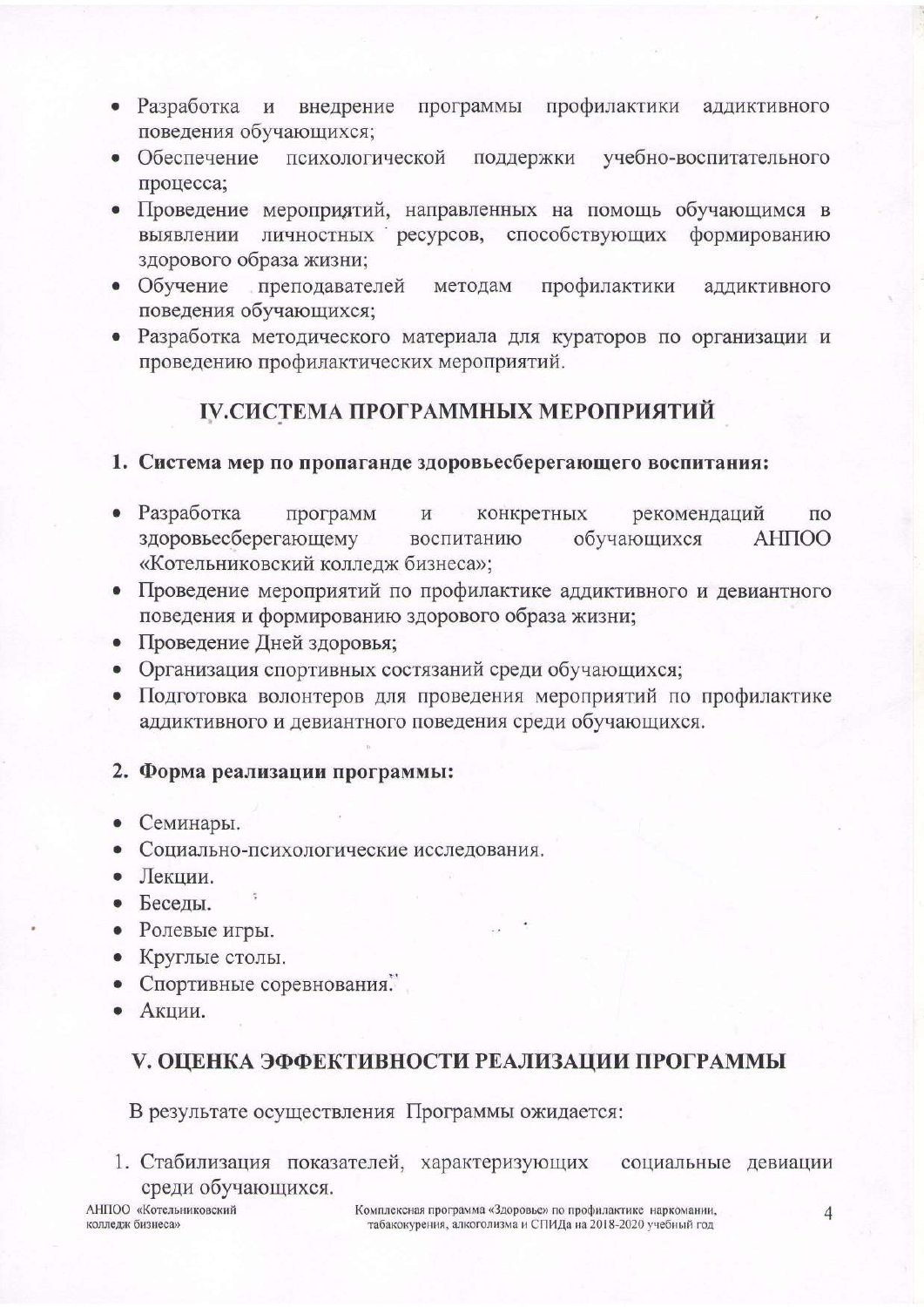- Разработка и внедрение программы профилактики аддиктивного поведения обучающихся;
- $\bullet$  Обеспечение психологической поддержки учебно-воспитательного процесса;
- Проведение мероприятий, направленных на помощь обучающимся в личностных ресурсов, способствующих формированию выявлении здорового образа жизни;
- Обучение преподавателей методам профилактики аддиктивного поведения обучающихся;
- Разработка методического материала для кураторов по организации и проведению профилактических мероприятий.

# ІУ.СИСТЕМА ПРОГРАММНЫХ МЕРОПРИЯТИЙ

#### 1. Система мер по пропаганде здоровьесберегающего воспитания:

- Разработка программ конкретных рекомендаций И  $\Pi$ <sup>O</sup> здоровьесберегающему обучающихся **AHITOO** воспитанию «Котельниковский колледж бизнеса»;
- Проведение мероприятий по профилактике аддиктивного и девиантного поведения и формированию здорового образа жизни;
- Проведение Дней здоровья;
- Организация спортивных состязаний среди обучающихся;
- Подготовка волонтеров для проведения мероприятий по профилактике аддиктивного и девиантного поведения среди обучающихся.

#### 2. Форма реализации программы:

- Семинары.
- Социально-психологические исследования.
- Лекции.
- Беседы.
- Ролевые игры.
- Круглые столы.
- Спортивные соревнования.
- Акции.

#### V. ОЦЕНКА ЭФФЕКТИВНОСТИ РЕАЛИЗАЦИИ ПРОГРАММЫ

В результате осуществления Программы ожидается:

1. Стабилизация показателей, характеризующих социальные девиации среди обучающихся.